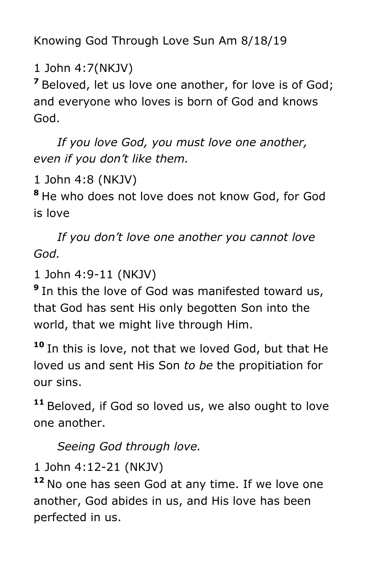Knowing God Through Love Sun Am 8/18/19

1 John 4:7(NKJV)

**<sup>7</sup>** Beloved, let us love one another, for love is of God; and everyone who loves is born of God and knows God.

 *If you love God, you must love one another, even if you don't like them.* 

1 John 4:8 (NKJV)

**<sup>8</sup>** He who does not love does not know God, for God is love

 *If you don't love one another you cannot love God.*

1 John 4:9-11 (NKJV)

**9** In this the love of God was manifested toward us, that God has sent His only begotten Son into the world, that we might live through Him.

**<sup>10</sup>** In this is love, not that we loved God, but that He loved us and sent His Son *to be* the propitiation for our sins.

**<sup>11</sup>** Beloved, if God so loved us, we also ought to love one another.

*Seeing God through love.*

1 John 4:12-21 (NKJV)

**<sup>12</sup>** No one has seen God at any time. If we love one another, God abides in us, and His love has been perfected in us.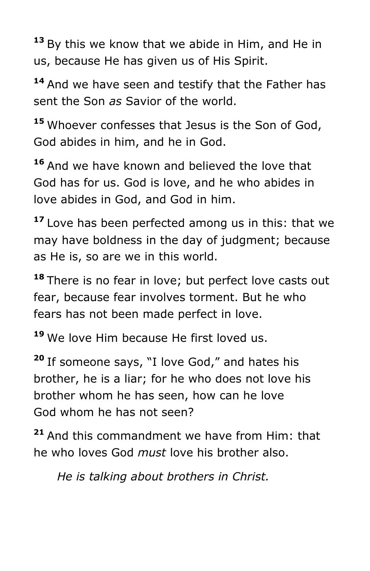**<sup>13</sup>** By this we know that we abide in Him, and He in us, because He has given us of His Spirit.

**<sup>14</sup>** And we have seen and testify that the Father has sent the Son *as* Savior of the world.

**<sup>15</sup>** Whoever confesses that Jesus is the Son of God, God abides in him, and he in God.

**<sup>16</sup>** And we have known and believed the love that God has for us. God is love, and he who abides in love abides in God, and God in him.

**<sup>17</sup>** Love has been perfected among us in this: that we may have boldness in the day of judgment; because as He is, so are we in this world.

**<sup>18</sup>** There is no fear in love; but perfect love casts out fear, because fear involves torment. But he who fears has not been made perfect in love.

**<sup>19</sup>** We love Him because He first loved us.

**<sup>20</sup>** If someone says, "I love God," and hates his brother, he is a liar; for he who does not love his brother whom he has seen, how can he love God whom he has not seen?

**<sup>21</sup>** And this commandment we have from Him: that he who loves God *must* love his brother also.

*He is talking about brothers in Christ.*